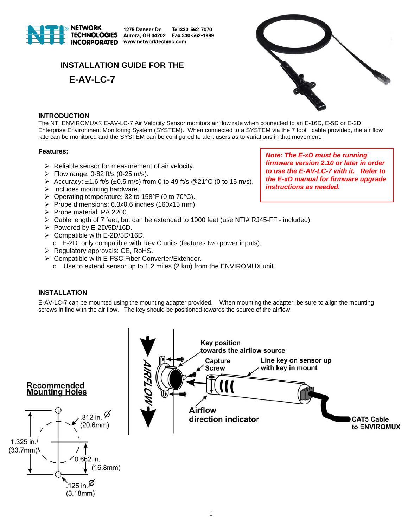

1275 Danner Dr Tel:330-562-7070 Aurora, OH 44202 Fax:330-562-1999 www.networktechinc.com

# **INSTALLATION GUIDE FOR THE**





# **INTRODUCTION**

The NTI ENVIROMUX® E-AV-LC-7 Air Velocity Sensor monitors air flow rate when connected to an E-16D, E-5D or E-2D Enterprise Environment Monitoring System (SYSTEM). When connected to a SYSTEM via the 7 foot cable provided, the air flow rate can be monitored and the SYSTEM can be configured to alert users as to variations in that movement.

# **Features:**

- $\triangleright$  Reliable sensor for measurement of air velocity.
- $\triangleright$  Flow range: 0-82 ft/s (0-25 m/s).
- Accuracy:  $\pm$ 1.6 ft/s ( $\pm$ 0.5 m/s) from 0 to 49 ft/s @21°C (0 to 15 m/s).
- $\triangleright$  Includes mounting hardware.
- P Operating temperature: 32 to 158°F (0 to 70°C).
- Probe dimensions:  $6.3x0.6$  inches (160x15 mm).
- Probe material: PA 2200.
- $\triangleright$  Cable length of 7 feet, but can be extended to 1000 feet (use NTI# RJ45-FF included)
- Powered by E-2D/5D/16D.
- $\triangleright$  Compatible with E-2D/5D/16D.
	- o E-2D: only compatible with Rev C units (features two power inputs).
- $\triangleright$  Regulatory approvals: CE, RoHS.
- **▶ Compatible with E-FSC Fiber Converter/Extender.** 
	- o Use to extend sensor up to 1.2 miles (2 km) from the ENVIROMUX unit.

# **INSTALLATION**

E-AV-LC-7 can be mounted using the mounting adapter provided. When mounting the adapter, be sure to align the mounting screws in line with the air flow. The key should be positioned towards the source of the airflow.



*Note: The E-xD must be running firmware version 2.10 or later in order to use the E-AV-LC-7 with it. Refer to the E-xD manual for firmware upgrade instructions as needed.*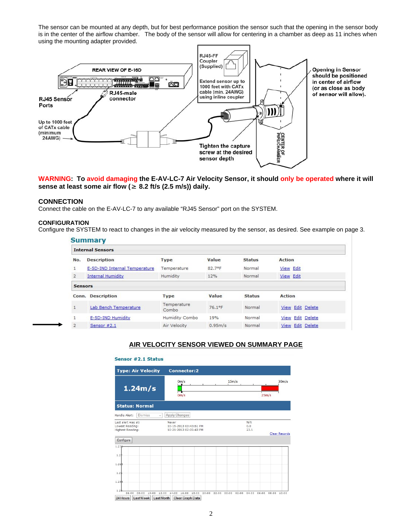The sensor can be mounted at any depth, but for best performance position the sensor such that the opening in the sensor body is in the center of the airflow chamber. The body of the sensor will allow for centering in a chamber as deep as 11 inches when using the mounting adapter provided.



**WARNING: To avoid damaging the E-AV-LC-7 Air Velocity Sensor, it should only be operated where it will sense at least some air flow (≥ 8.2 ft/s (2.5 m/s)) daily.** 

## **CONNECTION**

Connect the cable on the E-AV-LC-7 to any available "RJ45 Sensor" port on the SYSTEM.

#### **CONFIGURATION**

Configure the SYSTEM to react to changes in the air velocity measured by the sensor, as desired. See example on page 3.

| <b>Summary</b><br><b>Internal Sensors</b> |                               |                      |         |               |                  |  |  |
|-------------------------------------------|-------------------------------|----------------------|---------|---------------|------------------|--|--|
|                                           |                               |                      |         |               |                  |  |  |
| $\mathbf{1}$                              | E-5D-IND Internal Temperature | Temperature          | 82.7°F  | Normal        | <b>View Edit</b> |  |  |
| $\overline{2}$                            | <b>Internal Humidity</b>      | Humidity             | 12%     | Normal        | View Edit        |  |  |
| <b>Sensors</b>                            |                               |                      |         |               |                  |  |  |
| Conn.                                     | <b>Description</b>            | <b>Type</b>          | Value   | <b>Status</b> | <b>Action</b>    |  |  |
| $\mathbf{1}$                              | Lab Bench Temperature         | Temperature<br>Combo | 76.1°F  | Normal        | View Edit Delete |  |  |
| $\mathbf{1}$                              | E-5D-IND Humidity             | Humidity Combo       | 19%     | Normal        | View Edit Delete |  |  |
| $\overline{2}$                            | Sensor #2.1                   | Air Velocity         | 0.95m/s | Normal        | View Edit Delete |  |  |

# **AIR VELOCITY SENSOR VIEWED ON SUMMARY PAGE**

#### Sensor #2.1 Status

| <b>Type: Air Velocity</b>                                                      | <b>Connector:2</b>                                                                                                  |  |  |  |  |  |  |
|--------------------------------------------------------------------------------|---------------------------------------------------------------------------------------------------------------------|--|--|--|--|--|--|
| 1.24m/s                                                                        | 15m/s<br>0 <sub>m</sub> /s<br>30 <sub>m</sub> /s<br>冖<br>$0m$ /s<br>25m/s                                           |  |  |  |  |  |  |
| <b>Status: Normal</b>                                                          |                                                                                                                     |  |  |  |  |  |  |
| Handle Alert:<br><b>Dismiss</b><br>$\rightarrow$                               | Apply Changes                                                                                                       |  |  |  |  |  |  |
| Last alert was at:<br>Lowest Reading:<br>Highest Reading:<br>Configure         | N/A<br>Never<br>0.0<br>10-15-2013 03:43:51 PM<br>10-21-2013 02:05:43 PM<br>23.1<br><b>Clear Records</b>             |  |  |  |  |  |  |
| 1.276                                                                          |                                                                                                                     |  |  |  |  |  |  |
| 1.2                                                                            |                                                                                                                     |  |  |  |  |  |  |
| 1.265                                                                          |                                                                                                                     |  |  |  |  |  |  |
| 1.2(                                                                           |                                                                                                                     |  |  |  |  |  |  |
| 1.255                                                                          |                                                                                                                     |  |  |  |  |  |  |
| 1.2<br>06:00<br>08:00<br>12:00<br>10:00<br>24 Hours<br>Last Week<br>Last Month | 14:00<br>16:00<br>18:00<br>20:00<br>22:00<br>00:00<br>02:00<br>04:00<br>06:00<br>08:00<br>10:00<br>Clear Graph Data |  |  |  |  |  |  |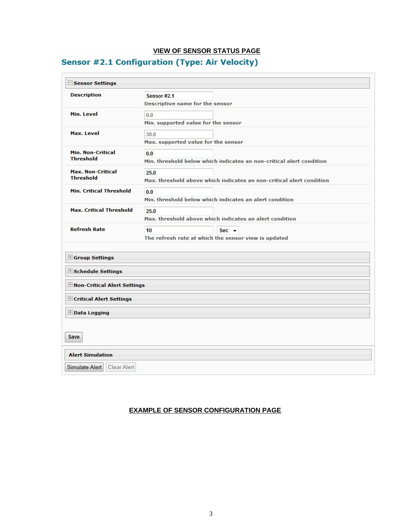# **VIEW OF SENSOR STATUS PAGE**

# **Sensor #2.1 Configuration (Type: Air Velocity)**

| Sensor Settings                |                                                                      |  |  |
|--------------------------------|----------------------------------------------------------------------|--|--|
| <b>Description</b>             | <b>Sensor #2.1</b>                                                   |  |  |
|                                | Descriptive name for the sensor                                      |  |  |
| Min. Level                     | 0.0                                                                  |  |  |
|                                | Min. supported value for the sensor                                  |  |  |
| Max. Level                     | 30.0                                                                 |  |  |
|                                | Max. supported value for the sensor                                  |  |  |
| <b>Min. Non-Critical</b>       | 0.0                                                                  |  |  |
| <b>Threshold</b>               | Min, threshold below which indicates an non-critical alert condition |  |  |
| <b>Max. Non-Critical</b>       | 25.0                                                                 |  |  |
| <b>Threshold</b>               | Max. threshold above which indicates an non-critical alert condition |  |  |
| <b>Min. Critical Threshold</b> | 0.0                                                                  |  |  |
|                                | Min, threshold below which indicates an alert condition              |  |  |
| <b>Max. Critical Threshold</b> | 25.0                                                                 |  |  |
|                                | Max, threshold above which indicates an alert condition              |  |  |
| <b>Refresh Rate</b>            | 10 <sup>1</sup><br>$Sec +$                                           |  |  |
|                                | The refresh rate at which the sensor view is updated                 |  |  |
|                                |                                                                      |  |  |
| Group Settings                 |                                                                      |  |  |
| <b>Exchedule Settings</b>      |                                                                      |  |  |
| H Non-Critical Alert Settings  |                                                                      |  |  |
| E Critical Alert Settings      |                                                                      |  |  |
| Data Logging                   |                                                                      |  |  |
|                                |                                                                      |  |  |
| Save                           |                                                                      |  |  |
|                                |                                                                      |  |  |
| <b>Alert Simulation</b>        |                                                                      |  |  |
|                                |                                                                      |  |  |

# **EXAMPLE OF SENSOR CONFIGURATION PAGE**